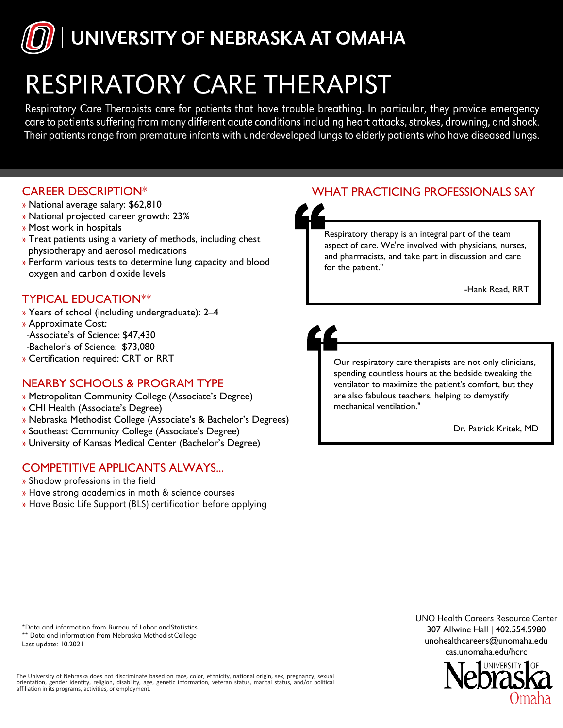# UNIVERSITY OF NEBRASKA AT OMAHA

## RESPIRATORY CARE THERAPIST

Respiratory Care Therapists care for patients that have trouble breathing. In particular, they provide emergency care to patients suffering from many different acute conditions including heart attacks, strokes, drowning, and shock. Their patients range from premature infants with underdeveloped lungs to elderly patients who have diseased lungs.

#### CAREER DESCRIPTION\*

- » National average salary: \$62,810
- » National projected career growth: 23%
- » Most work in hospitals
- » Treat patients using a variety of methods, including chest physiotherapy and aerosol medications
- » Perform various tests to determine lung capacity and blood oxygen and carbon dioxide levels

#### TYPICAL EDUCATION\*\*

- » Years of school (including undergraduate): 2–4
- » Approximate Cost: -Associate's of Science: \$47,430 -Bachelor's of Science: \$73,080
- » Certification required: CRT or RRT

#### NEARBY SCHOOLS & PROGRAM TYPE

- » Metropolitan Community College (Associate's Degree)
- » CHI Health (Associate's Degree)
- » Nebraska Methodist College (Associate's & Bachelor's Degrees)
- » Southeast Community College (Associate's Degree)
- » University of Kansas Medical Center (Bachelor's Degree)

#### COMPETITIVE APPLICANTS ALWAYS...

- » Shadow professions in the field
- » Have strong academics in math & science courses
- » Have Basic Life Support (BLS) certification before applying

### WHAT PRACTICING PROFESSIONALS SAY



Respiratory therapy is an integral part of the team aspect of care. We're involved with physicians, nurses, and pharmacists, and take part in discussion and care for the patient."

-Hank Read, RRT

Our respiratory care therapists are not only clinicians, spending countless hours at the bedside tweaking the ventilator to maximize the patient's comfort, but they are also fabulous teachers, helping to demystify mechanical ventilation."

Dr. Patrick Kritek, MD

\*Data and information from Bureau of Labor andStatistics \*\* Data and information from Nebraska Methodist College Last update: 10.2021

UNO Health Careers Resource Center [307 Allwine Hall | 40](mailto:unohealthcareers@unomaha.edu)2.554.5980 unohealthcareers@unomaha.edu cas.unomaha.edu/hcrc



The University of Nebraska does not discriminate based on race, color, ethnicity, national origin, sex, pregnancy, sexual orientation, gender identity, religion, disability, age, genetic information, veteran status, marital status, and/or political affiliation in its programs, activities, or employment.